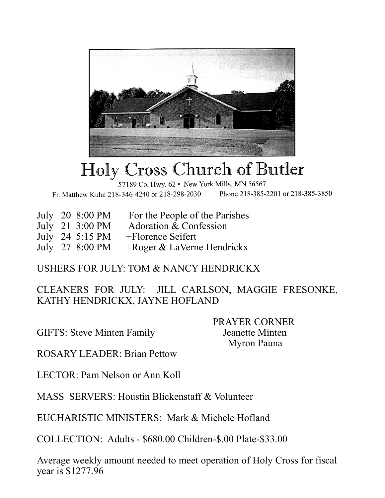

## Holy Cross Church of Butler

57189 Co. Hwy. 62 • New York Mills, MN 56567

Fr. Matthew Kuhn 218-346-4240 or 218-298-2030 Phone 218-385-2201 or 218-385-3850

| July 20 8:00 PM<br>For the People of the Parishes |
|---------------------------------------------------|
|---------------------------------------------------|

- July 21 3:00 PM Adoration & Confession
- 
- July 24 5:15 PM +Florence Seifert<br>July 27 8:00 PM +Roger & LaVern +Roger & LaVerne Hendrickx

## USHERS FOR JULY: TOM & NANCY HENDRICKX

CLEANERS FOR JULY: JILL CARLSON, MAGGIE FRESONKE, KATHY HENDRICKX, JAYNE HOFLAND

GIFTS: Steve Minten Family Jeanette Minten

 PRAYER CORNER Myron Pauna

ROSARY LEADER: Brian Pettow

LECTOR: Pam Nelson or Ann Koll

MASS SERVERS: Houstin Blickenstaff & Volunteer

EUCHARISTIC MINISTERS: Mark & Michele Hofland

COLLECTION: Adults - \$680.00 Children-\$.00 Plate-\$33.00

Average weekly amount needed to meet operation of Holy Cross for fiscal year is \$1277.96